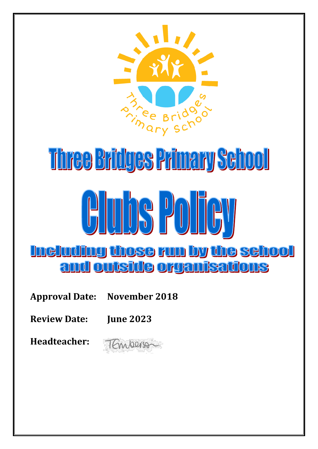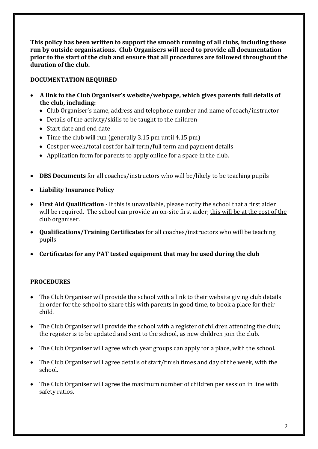**This policy has been written to support the smooth running of all clubs, including those run by outside organisations. Club Organisers will need to provide all documentation prior to the start of the club and ensure that all procedures are followed throughout the duration of the club.** 

## **DOCUMENTATION REQUIRED**

- **A link to the Club Organiser's website/webpage, which gives parents full details of the club, including:**
	- Club Organiser's name, address and telephone number and name of coach/instructor
	- Details of the activity/skills to be taught to the children
	- Start date and end date
	- Time the club will run (generally 3.15 pm until 4.15 pm)
	- Cost per week/total cost for half term/full term and payment details
	- Application form for parents to apply online for a space in the club.
- **DBS Documents** for all coaches/instructors who will be/likely to be teaching pupils
- **Liability Insurance Policy**
- **First Aid Qualification -** If this is unavailable, please notify the school that a first aider will be required. The school can provide an on-site first aider; this will be at the cost of the club organiser.
- **Qualifications/Training Certificates** for all coaches/instructors who will be teaching pupils
- **Certificates for any PAT tested equipment that may be used during the club**

# **PROCEDURES**

- The Club Organiser will provide the school with a link to their website giving club details in order for the school to share this with parents in good time, to book a place for their child.
- The Club Organiser will provide the school with a register of children attending the club; the register is to be updated and sent to the school, as new children join the club.
- The Club Organiser will agree which year groups can apply for a place, with the school.
- The Club Organiser will agree details of start/finish times and day of the week, with the school.
- The Club Organiser will agree the maximum number of children per session in line with safety ratios.